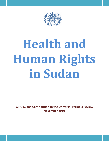

# **Health and Human Rights in Sudan**

**WHO Sudan Contribution to the Universal Periodic Review November 2010**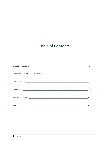# **Table of Contents**

| Recommendations | 14 |
|-----------------|----|
|                 | 15 |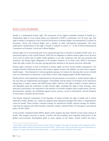# *EXECUTIVE SUMMARY:*

Health is a fundamental human right. The enjoyment of the highest attainable standard of health as a fundamental right of every human being was enshrined in WHO's constitution over 60 years ago. The right to health is recognized in the Universal Declaration of Human Rights, the International Covenant on Economic, Social and Cultural Rights and a number of other international instruments. The most authoritative interpretation of the right to health is outlined in article  $12^{-1}$  of the ICESCR (International Committee on Economic, Social and Cultural Rights).

Human rights are an overarching and cross-cutting principle that is relevant to all public health work. As a specialized agency of the United Nations, WHO has an obligation to address human rights across all areas of its work to ensure that its public health guidance is not only consistent with, but also promotes and reinforces, the human rights obligations of its member countries. In its daily work, WHO is striving to make this right a reality for everyone, paying particular attention to the poorest and most vulnerable.

Human rights violations or lack of attention to human rights can have serious health consequences. For example harmful traditional practices and violence against women and children can have direct negative health impact. Discrimination of certain population groups, for instance by denying their access to health care or to information or education, is also likely to have wide-ranging negative health implications.

Health policies and programmes implemented by the government can promote or violate human rights in the ways they are implemented and designed. Vulnerability and the impact of ill health can be reduced by taking steps to respect, protect and fulfill human rights. However the right to health is closely related to and dependent upon the realization of other human rights, including the right to food, housing, work, education, participation, the enjoyment of the benefits of scientific progress and its applications, life nondiscrimination, equality, the prohibition against torture, privacy, access to information, and the freedoms of association, assembly and movement.

The Interim National Constitution of the Republic of Sudan includes the right to health and is clearly reflected in Public Health Law. Sudan has adopted some important strategies that reflect a comprehensive vision for health. These include a national strategy for reproductive health, national strategy for malaria, road map for maternal and child mortality reduction, Sudan's national Policy for Emergency and national policy on HIV/AIDS.

In the recently completed Sudan MDGs Report 2010, progress has been charted in some major aspects of health. This progress however is patchy. Conflict and inaccessibility have impeded achievement of the global socio-economic development goals in many regions of the Sudan. Armed conflict has had a

 $^1$  According to article 12(1) of the Covenant, State Parties recognize "the right of everyone to the enjoyment of the highest attainable standard of physical and mental health", while article 12(2) enumerates, by way of illustration, a number of "steps to be taken by the State Parties "….to achieve the full realization of this right".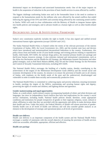detrimental impact on development and associated humanitarian needs. One of the major impacts on health is the suspension of reduction in the provision of basic health services in areas affected by conflict.

The biggest challenge confronting Sudan now and in the foreseeable future is the need to continue to respond to the humanitarian needs for the millions who were affected by the armed conflicts that ended following the signing of the CPA and ESPA and currently being affected by the continuing armed conflict in Darfur. WHO will work in close collaboration with the Ministry of Health to integrate human rights into health policies and strategies; and to advance health as a human right as well as other health-related rights.

# *BACKGROUND: LEGAL & INSTITUTIONAL FRAMEWORK*

Sudan's new constitution explicitly includes the right to health. It has also signed and ratified several international human rights agreements (except CEDAW and CAT)

The Sudan National Health Policy is framed within the remits of the relevant provisions of the interim Constitution of Sudan, 2005, the Local Government Act, 2003, and the resolute state laws and decrees which have introduced and institutionalized decentralized federalism in the country. Furthermore, this policy draws from and builds on the 25-year health strategy and existing policies relating to reproductive health, child health, HIV/AIDS, the national drugs policy, the essential primary health care package and the10-year human resources strategy. It also reiterates national and international commitments, such as the Alma-Ata Declaration and the Health-for-All Strategy, the Millennium Summit Declaration and other global strategies, such as Roll Back Malaria (RBM), Stop TB and the Global Strategy for the Prevention and Control of Sexually Transmitted Infections, including HIV/AIDS.

The National Health Policy envisages the building of a healthy nation, thereby contributing to the achievement of the targets of the Millennium Development Goals (MDGs) and the overall social and economic development of the country. Its mission is to ensure the provision of health care to all citizens of Sudan, with emphasis on the health needs of the poor and the underserved, disadvantaged and vulnerable in order to enable them socially and economically productive lives.

The National Health Policy is committed to: achieving equity and poverty reduction; ensuring investment in health; reaching the targets of the MDGs; maintaining and securing human rights and dignity; preserving the rights of women and children; and fighting disease and ignorance.

## **Gender mainstreaming and equal opportunities**

Sudan, as a multi-ethnic, multi-cultural country encompassing hundreds of ethnic and tribal divisions and languages, has since its independence faced conflicts that have had implications for the country's social service institutions, including health. National health policies should, therefore, create appropriate conditions and institutions for people irrespective of gender or their regional, religious, racial, cultural or ethnic affiliation in order that they are provided with the opportunity and ability to make decisions about their health and lives. Under this policy, the Federal Ministry of Health will ensure provision of genderfriendly health care at all levels of health care delivery and will also consider gender analysis as an element in the development of strategic and operational plans at all levels of government.

## **Health care delivery**

Health care delivery is an important component of the health system and the National Health Policy envisages a number of statements with the overall objective of ensuring the provision of health services which are accessible, affordable, appropriate, efficient and effective.

## *Health care package*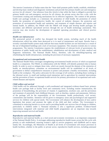The interim Constitution of Sudan states that the "State shall promote public health, establish, rehabilitate and develop basic medical and diagnostic institutions and provide free primary health care and emergency services for all citizens". One inference from this Article is that while the State is obliged to provide free primary health care and emergency services for all citizens, the private sector also has a role, with the Government creating and instituting mechanisms for its effective regulation. The content of the primary health care package includes as a minimum: the promotion of child health; the promotion of school health; the promotion of reproductive health; the control of endemic diseases; the protection and promotion of environmental health and sanitation; and treatment of simple diseases and injuries and mental health. In addition, the FMoH with the SMoH will design and develop health packages for secondary and different specialized services through the use of health technology assessment. This exercise may also involve the development of standard operating procedures and clinical practice guidelines.

## *Health care infrastructure*

The protracted period of conflict has disrupted the health system, including much of the health infrastructure which has either been destroyed or is in need of maintenance and repair. Results from a recently concluded health system study indicate that many health facilities are not functional as a result of the use of dilapidated buildings and a lack of necessary equipment. This situation extends also to various programmes. The interim Constitution requires the establishment of relevant levels of government, the promotion of public health and the establishment, rehabilitation and development of basic medical and diagnostic institutions. The National Health Policy, therefore, calls for rebuilding/repairing and refurbishing the health infrastructure, including the provision of necessary equipment.

#### *Occupational and environmental health*

The National Health Policy envisages strengthening environmental health services of which occupational health is a component. The FMoH, in collaboration with the SMoH, will identify potential risks to human health. In order to avert or mitigate these risks, which are mostly beyond the domain of the ministries of health, an interdisciplinary committee on environmental health will be established at all levels of government to define comprehensive measures to protect and promote a healthy environment, including health at the workplace. The policy advocates for the coverage of all workers, including those working in the informal sector, in small and medium-sized enterprises and in agriculture by essential interventions and the prevention of basic occupational health services for primary prevention of occupational and workrelated diseases and injuries.

## *Child welfare and survival*

Child health will be addressed through a well-coordinated and integrated evidence-based basic primary health care package both at facility level and community level, including routine immunization, the promotion of breastfeeding, the provision of vitamin A supplements, newborn care, and the prevention and treatment of potentially fatal childhood diseases, such as diarrhea, malaria and pneumonia. Delivery of the package will be the responsibility of the Government, health professionals, civil society, communities and families. Attention will be given to emergency areas and psychological and supportive services for children with special needs. The Government will enhance the development of laws and/or legislation that protect and promote the rights of the child and their welfare. The Government is committed to removing barriers to access and to providing health care services free-of-charge to children, particularly to children under 5. Neonatal mortality is also a significant problem. Evidence-based interventions integrated with maternal and child health programmes are an important step towards improving neonatal survival and health.

# *Reproductive and maternal health*

Reproductive and maternal health, as a vital social and economic investment, is an important component of the National Health Policy. It envisages addressing reproductive health issues across the life-cycle with priority to safe motherhood, ensuring women's right to survive pregnancy and childbirth and to enjoy family life. Accordingly, the Ministries of Health at all levels of Government will ensure provision in health facilities, whether in the public or private sector, reproductive health services, including antenatal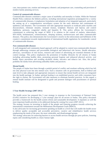care, intra-partum care, routine and emergency obstetric and postpartum care, counseling and provision of modern family planning services.

## *Control of communicable diseases*

Communicable diseases constitute a major cause of morbidity and mortality in Sudan. While the National Health Policy endorses the hitherto policies, including international regulation promulgated for a variety of communicable diseases, it emphasizes formulation and adoption of an integrated approach, particularly the setting up of a comprehensive surveillance system for the early detection and containment of epidemics and disasters. The Government will take appropriate measures to eradicate polio myelitis and dracunculiasis, eliminate measles, neonatal tetanus, lymphatic filariasis and leprosy and control diphtheria, pertussis, congenital rubella and hepatitis B. This policy affirms the Government's commitment to achieving the target of MDG 6 in relation to the control of malaria, tuberculosis, HIV/AIDS, leishmaniasis, schistosomiasis, sleeping sickness, onchocerciasis and other communicable diseases. This policy also demonstrates the Government's resolve in the enforcement and fulfilment of the country's commitment towards implementation of international health regulations for transborder control of communicable diseases.

## *Non-communicable diseases*

A well-integrated and community-based approach will be adopted to control non-communicable diseases through addressing common and preventable biological and behavioral risk factors. Health education, advocacy, surveillance of risk factors, research and control of advertising are essential elements of the control strategy. This policy emphasizes the promotion of healthy lifestyles for all citizens of Sudan including advocating healthy diets, promoting personal hygiene and enhanced physical activity, oral health, injury prevention and avoiding alcoholic drinks, narcotics and tobacco use. Also, this policy prohibits the media from advertising unhealthy habits and practices.

# *Mental health*

The people of Sudan have been through a painful period of conflict and resultant suffering which has left not only physical scars but also mental scars. Such a situation calls on governments, both at federal and state level to take adequate and appropriate measures to ensure that mental health services are integrated into the health package. In Sudan, spiritual healing is an established practice and while consumers have the right to choose, the Government will take measures to eliminate harmful practices. In this regard, a mental health institute will be designated to guide and promote dialogue with practitioners of spiritual healing.

# **5 Year Health Strategy (2007-2011)**

The health sector has prepared this 5 year strategy in response to the Government of National Unity (GoNU) initiative for developing a 5 year strategic plan for all sectors in Sudan. This policy document provides a framework for the health system reform and sustainable development. It stipulates as well the most important health priorities to be addressed during the coming five years (2007-2011).

The strategy focuses on investing in health of the people and fostering progress towards achieving the international commitment towards the Millennium Development Goals (MDGs).

It also advocates for increasing government spending on health to a level that will enable the health sector to deliver quality acceptable and accessible preventive, curative and rehabilitative health services emphasizing the needs of the poor, the most vulnerable, and disadvantaged groups.

The strategy advocates for removing barriers to access health services through pro poor policies, fostering equity and considering health as a basic human right.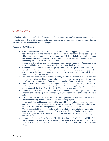# *ACHIEVEMENTS*

Sudan has made tangible and solid achievements in the health sector towards promoting its peoples' right to health. This section highlights some of the achievements and progress made to date towards achieving the essential health millennium development goals.

# *Reducing Child Mortality*

- Considerable number of child health and other health related supporting policies were either recently developed or implemented. All policies address the right of children to access quality child health care and nutrition services namely at PHC level. Policies emphasize adequate and quality emergency hospital care and maintain decent and safe service delivery at community level where no health facilities exist.
- Strategies that accelerate and support routine service delivery such as Accelerated Child Survival Initiative including country specific package were implemented.
- Guidelines and protocols to ensure quality child case management are introduced or strengthened: Emergency Triage Assessment and Treatment at referral sites; management of severe acute malnutrition at hospital and at community levels, and management of sick child using community health workers.
- Joint and intensified efforts of partners including WHO were exerted to support measles's routine vaccination, catching up and follow up campaigns. This has resulted in increased measles vaccine coverage noted from 2005 and onwards and consequently decreased cases.
- New vaccines that protect children against most common debilitating diseases e.g Pentavalant vaccine were introduced, while routine and supplementary immunization services through the Reach Every District (RED) strategy: were expanded.
- Establishment of Academies of Health Science, to produce allied health personnel with the objective of filling the gap in skill mix namely in rural areas where no or few medical doctors exist.
- Revitalization of the community health workers experienced in late 1970s and early 80s, aiming at increasing universal access to PHC and ensuring equity.
- Laws, regulations and joint agreements addressing critical child's health issues were issued or enacted. Examples are: presidential decree on free treatment for children, unified child law, draft of national code for banning breast milk substitutes and maternal leave.
- The Government of Southern Sudan has made some relative progress in the policy area in addressing constraints to the attainment of MDG 4. It has developed policy guidelines and the Basic Package of Health, Nutrition, Water and Sanitation Services necessary in reducing maternal health.
- In southern Sudan, the Basic Package of Health, Nutrition and WASH Services (BPHN&W) was developed and endorsed at the highest level under the Accelerated Child Survival Initiative (ACSI) in 2007 as the innovative strategy to deliver the package to all in three phases.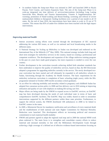• In southern Sudan the Jump-start Phase was initiated in 2007 and launched 2009 in Hiyala Payam, Torit County, and Eastern Equatoria State. The aim of the Jump-start Phase is to scale-up integrated one time delivery of services/interventions (including Long Lasting Insecticide Nets; Measles and Tetanus Immunization; Vitamin A Supplementation; Deworming; promotion of Hand-washing and Breast-feeding; screening and referral of severe malnourished children to therapeutic feeding facilities) over a period of one month in all 10 states. By the end of June 2010, the interventions have been taken to scale in 35 out of 79 counties. This means that 85% of under-five children have been reached with the high impact interventions.

# *Improving maternal health*

- Intense awareness raising efforts were exerted through the development of IEC material addressing the various RH issues, as well as via national and local broadcasting media in the different states.
- A National Strategy for Scaling up Midwifery in Sudan was developed and endorsed on the International Day of the Midwife  $(15<sup>th</sup>$  May 2009). This national strategy includes both long and short term strategies for midwifery services in the country, based on creating a professional and competent workforce. The development and expansion of the village midwives training program in the past six years have made good progress, but more expansion is needed to cover the vast country.
- Further development in the curriculum towards achieving skilled birth attendant standards has been undertaken to improve the quality of midwifery services, based on that, the RH Directorate adopted a programme for upgrading midwifes currently in the service. The newly developed twoyear curriculum has been started and will ultimately be expanded to all midwifery schools in Sudan, functioning through the Academy for Health Sciences. The basic requirement for the midwifery technician curriculum is completion of basic schooling (eight years), while the BSc programme initiated in October 2009 enrolls secondary school graduates.
- As an effort for reducing morbidity and mortality related to pregnancy and childbirth Sudan has adopted free caesarean section policy in 2008 and free delivery care in 2010 aiming at improving utilization and quality of care with emphasis on making life-saving care free.
- Major efforts are being made by the FMOH to expand access to EmONC services; an EmONC map has been developed showing the needs of each individual state in terms of basic and comprehensive EmONC facilities; The EmONC Map was widely shared in order to streamline interventions supported by the different partners within these state priorities. Furthermore, to support the referral system, the FMOH distributed 108 ambulances in 2008 to be linked to EmONC centers in the states.
- In 2009, a Ministerial Decree for mandatory notification and surveillance of every maternal death and the establishment of both national and state Higher Committees for Maternal Mortality Reduction were launched. This development reflects an increasing political and resources commitment to track maternal health modality
- FMOH and partners agreed to adapt the regional road map and in 2009 the national MNH work plans endorsed it. The main focus is to strengthen and consolidate country efforts to reduce maternal and neonatal mortality in line with the Millennium Development Goals through achieving a high coverage of a defined set of effective evidence-based interventions focusing on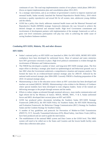continuum of care. The road map implementation consists of two phases: initial phase 2009-2011 (focus on inputs) implementation plan and consolidation phase 2012-2015.

- As a strategic intervention, and as an evidence of government's resolve to improve maternal and neonatal health, Sudan recently launched the National Reproductive Health Policy, 2010 which envisions a quality reproductive and sexual life for all women, men, adolescent young children and the elderly.
- GOSS has a policy that clearly addresses maternal health issues and the Maternal Neonatal and Reproductive Health (MNRH) strategic framework elaborates the way forward to achieve the desired changes on maternal and neonatal health. High level Government commitment and involvement of development partners with implementation of the strategic framework as well as grass root level community participation will play key roles in achieving the noble cause of saving Southern Sudanese mothers.

# *Combating HIV/AIDS, Malaria, TB, and other diseases*

# **HIV/AIDS:**

- Sudan's national policy on HIV\AIDS was launched in 2004. On HIV/AIDS, MOHE HIV/AIDS workplaces have been developed for uniformed forces. Most of national and states ministries have HIV governance structures in place. High level political commitment is evident through the involvement of Ministers and Undersecretaries.
- The FMOH has developed a number of short- and long-term HIV/AIDS strategic plans. The first major effort to develop a strategic plan based on epidemiological and behavioral grounds was in late 2002 when the Government undertook a comprehensive situation and response analysis. This formed the basis for an evidenced-based national strategic plan for 2003-07, followed by the national multi-sectoral strategic plan 2004-2009. Currently FMOH is finalizing preparation of the 2010–14 national strategic plans.
- Mainstreaming is clear in the education sector where an HIV curriculum has been developed and teachers are trained (MOGE, MOHE). Mainstreaming is also evident in the Ministry of Guidance where special modules have been developed to train religious leaders. Some of the trained are delivering messages to the people through sermons and the media.
- Efforts to reduce stigma accelerated through sustained advocacy, mass media communication and legal reform led by the Ministry of Justice. MOGE, MOHE, MOC, Y & S, Sudan uniformed forces and MOL developed their sectoral plans on HIV and AIDS.
- GOSS has produced policy documents including the Southern Sudan HIV/AIDS Strategic Framework (2008-2012), the HIV/AIDS Policy for Southern Sudan, the HIV/AIDS Monitoring and Evaluation Framework, the Behaviour Change Communication (BCC) Strategy for Southern Sudan and the Condom Strategy for Southern Sudan.
- A number of key guidelines and protocols for Prevention of Mother-to-Child Transmission (PMTCT), VCT, Sexually Transmitted Infections (STI), Blood Safety, Anti Retro Virals (ARVs), have been produced and are used to guide the intervention.
- The establishment of the national M&E system and Data Centre at the GOSS level. This M&E system will need to be rolled out to the States and Counties and the lowest health facility units where data collection takes place.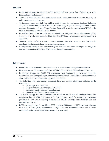# **Malaria:**

- In the northern states in 2009, 2.3 million patients had been treated free of charge with ACTs (uncomplicated malaria cases)
- There is a remarkable reduction in estimated malaria cases and deaths from 2001 to 2010; 7.5 million cases to 3.1 million cases
- To increase access, especially for children under 5 years in rural areas, Southern Sudan has adopted the Home Management of Malaria (HMM) strategy as part of an integrated child survival program. Promotion and use of Long Lasting Insecticide treated mosquito nets (LLINs) is the main vector control intervention at the moment.
- In southern Sudan plans are under way to establish an Integrated Vector Management (IVM) strategy that will include Indoor Residual Spraying (IRS) and environmental management where applicable.
- Southern Sudan drafted a Malaria Control Strategic plan that serves as the platform for coordinated malaria control and prevention interventions.
- Corresponding strategies and operational guidelines have also been developed for diagnosis, treatment, promotion of LLINs and Behaviour Change Communication.

# **Tuberculosis:**

- In northern Sudan treatment success rate of 81.8 % was achieved among the detected cases.
- Death rate among TB cases declined from 4.7% in 1999 to 2.4 % at 2008 as figure 2.20 shows.
- In southern Sudan, the GOSS TB programme was formulated in November 2006 for coordination, monitoring and supervision of implementation of TB activities in southern Sudan in close collaboration with implementing partners and donors.
- The following policy and strategy documents have also been developed and endorsed by the Government:
	- o TB strategic plan 2009-2013
	- o TB specific human resource plan 2010-2014
	- o Laboratory quality assurance guidelines and
	- o Laboratory standard operating procedures
- An ACSM strategy has been developed and rolled out to all parts of southern Sudan. The programme has an M&E framework with clear indicators used for monitoring programme performance. The key monitoring indicators are DOTS coverage, case detection rate and treatment success rate.
- DOTS coverage increased from 36% in 2007 to 49% in 2009 (aim for 100%), case detection rate from 19% to 34% (WHO recommended target 70%) and treatment success rate has been maintained well above 80% (WHO recommends at least 85%).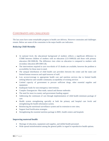# *CONSTRAINTS AND CHALLENGES*

The last years have some remarkable progress in health care delivery. However constraints and challenges remain. Below are some of the constraints in the major health care indicators.

# *Reducing Child Mortality*

- At national level, the educational background of mothers reflects a significant difference in U5MR between children of mothers with no education (121/1000LB) and those with primary education (96/1000LB). The difference rises when no education is compared to mothers with secondary education (89/1000 LB).
- The interventions required to save two-thirds of U5 deaths are available, however the problem is accessibility for those most in need.
- The unequal distribution of child health care providers between the center and the states and limited human resources and rapid turnover of staff.
- Low access/coverage to appropriate health care and nutrition services due to limited health seeking behavior and variable community acceptability of existing services
- Limited capacity of government to procure sufficient drugs, other essential supplies and equipment.
- Inadequate funds for non-emergency interventions.
- Complex Emergencies- Man made, natural and disease outbreaks
- The need for more in-country and government funding support
- Addressing the continuum of care through implementation of child health minimum package of care.
- Health system strengthening specially at both the primary and hospital care levels and strengthening the health information system.
- Reinforcing the nutritional surveillance system and its extension to new sites;
- Support food fortification strategies
- Strengthening the essential nutrition package in BHU, health centers and hospitals

# **Improving maternal health**

- Shortage of education, equipment and supplies, and skilled health personnel.
- Wide spread misinformation among the general public in regard to reproductive health options.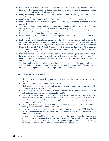- Low literacy levels hamper training of skilled medical workers, particularly midwives. Besides, there is a lack of standardized population-based statistics to guide program planning and baseline data to facilitate effective evaluation of progress.
- Poorly functioning health systems, with weak referral systems, especially during obstetric and neonatal emergencies
- Poor logistics for management of drugs, family planning commodities and equipment.
- Inadequate national human resource management, worsened by a continuing brain drain of skilled personnel
- Working in a large country with a population that is thinly spread and a highly mobile one (Refugees, displaced, nomads and massive rural-to-urban-migration).
- Family planning is characterized by low existence of prevalence rates, cultural and political barriers and high numbers of unwanted pregnancies.
- Improvements in girls' education and an increased prevalence and utilization of contraception and child spacing.
- Inadequate access to essential maternity and basic health care services and low utilization are the two main causes of maternal deaths in Southern Sudan. Unless drastic corrective measures are made in these directions, reducing maternal deaths remains intractable (A Baseline Formative Research Report, UNICEF & MOH-GOSS, 2010). It is estimated that up to 80% of maternal deaths could be averted if access to improved services were increased and utilized by pregnant and post-partum mothers.
- Most maternal deaths are related to obstetric complications including post-partum hemorrhage, infections, eclampsia and prolonged and obstructed labor and complication of abortions. Other indirect causes include anemia (exacerbated by malaria), HIV and other conditions that increase the risk of hemorrhage.
- The key challenges in increasing maternal health in Southern Sudan include the absence of emergency obstetric service at reasonable distances, reproductive health/ family planning services including uninterrupted supplies and trained providers and human resources.

# **HIV/AIDS, Tuberculosis and Malaria:**

- Need for more advocacy for reduction of stigma and discrimination associated with HIV/AIDS
- Need to improved quality services for HIV/AIDS.
- High population mobility due to rural- urban migration, displacement and armed conflict increase the risk of HIV/AIDS spread.
- Finding ways to involve civil society in a more coherent and coordinated manner within the national strategic framework of combating HIV/AIDS.
- Major challenges in controlling and treatment of malaria include limited coverage of formal health services, human resource constraints, weak supportive systems such as HMIS, laboratories, referral hospitals and poor supply chain management including inadequate regulatory mechanisms.
- Difficulty in maintaining continuous drug supply beside the limited number of staff trained to manage the severe adverse effects of the drugs.
- PPM: Although programmatic efforts were devoted to train key experts on PPM, there is still lack of coordination between the public and the growing private sector in the area of case detection and treatment.
- Sustainability of the political commitment although the Government ensured constant priority of the TB agenda, supported NTP with an adequate legislation body and financed key program activities, more needs to be done. A separate budget for TB within MOH funding will further empower NTP and enhance sustainability of interventions.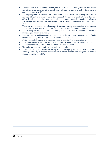- Limited access to health services mainly, in rural areas, due to distance, cost of transportation and other indirect costs related to loss of time contributed to delays in early detection and in adequate treatment of TB.
- The ongoing conflicts have caused displacement of populations thus making access to TB services difficult. For these reasons, the proposed strategy to expand DOTS in the waraffected and post conflict areas can only be achieved through establishing effective partnerships with national and international NGOs currently delivering health services to IDPs.
- There is a need to improve the laboratory network and services, and upgrading of the existing monitoring and supervisory system at different levels to meet the planned expansion.
- Staff training at different levels and development of TB service standards be aimed at improving the quality of services.
- Enhanced ACSM and building of community partnerships for DOTS implementation also be emphasised to improve case detection and reduce defaulter rates.
- Further and fullest expansion of treatment services with ACTs to peripheral zones.
- Expansion of malaria diagnostic services with quality assurance (microscopy and RDTs)
- Expansion of coverage with LLINs to achieve universal coverage
- Upgrading programme capacity at state and district levels.
- Provision of the quality services be the top priority of the program in order to reach universal coverage, either by preventive or curative intervention through increasing the coverage of diagnostic, ACTs and LLINs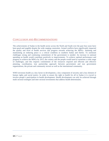# *CONCLUSION AND RECOMMENDATIONS*

The achievements of Sudan in the health sector across the North and South over the past four years have been good and tangible despite the wide ranging constraints. Armed conflicts have significantly impacted the quality and level of health services and progress towards achieving the MDGs. Attaining and maintaining an enduring peace is a critical condition in southern Sudan and Darfur. To surmount challenges strong and continuing commitment of the government is needed. An increase in national spending on health would contribute positively to improvements. To achieve optimal performance and progress to achieve the MDGs by 2015, the country and the people would need to surmount a wide range of challenges, and this requires commitment of the resources required and efficient and effective planning, coordination, true partnership approach between government and non government organizations, the private and community sectors as well as the international community.

WHO envisions health as a key factor in development, a key component of security and a key element of human rights and social justice. In order to ensure the right to health for all in Sudan it is crucial to involve people's participation in health development. Health development can only be achieved through multi sectoral strategies and inter sectoral investments that address health determinants.